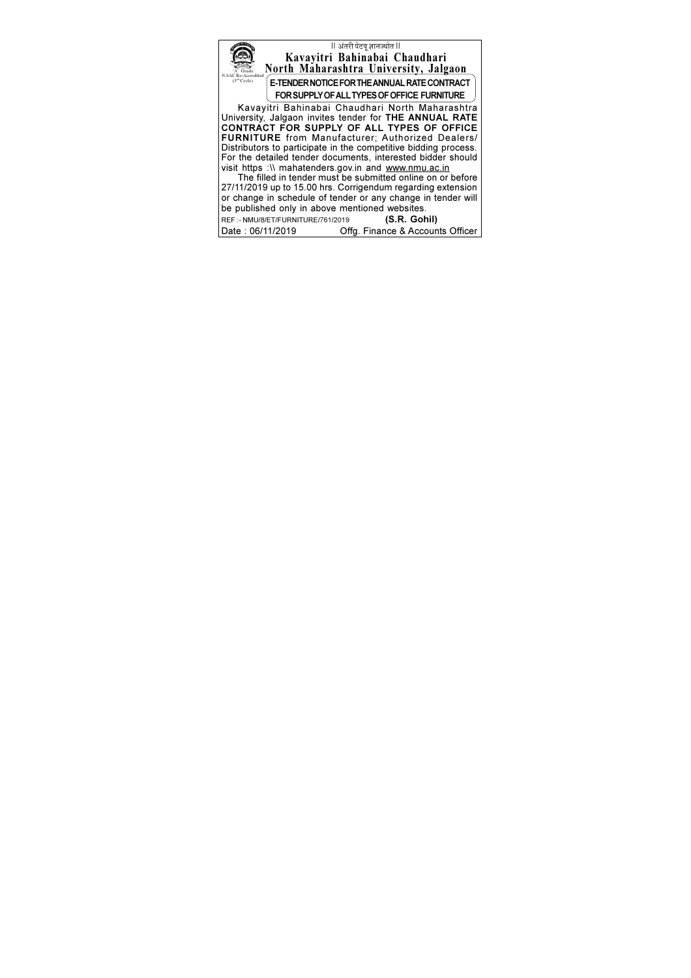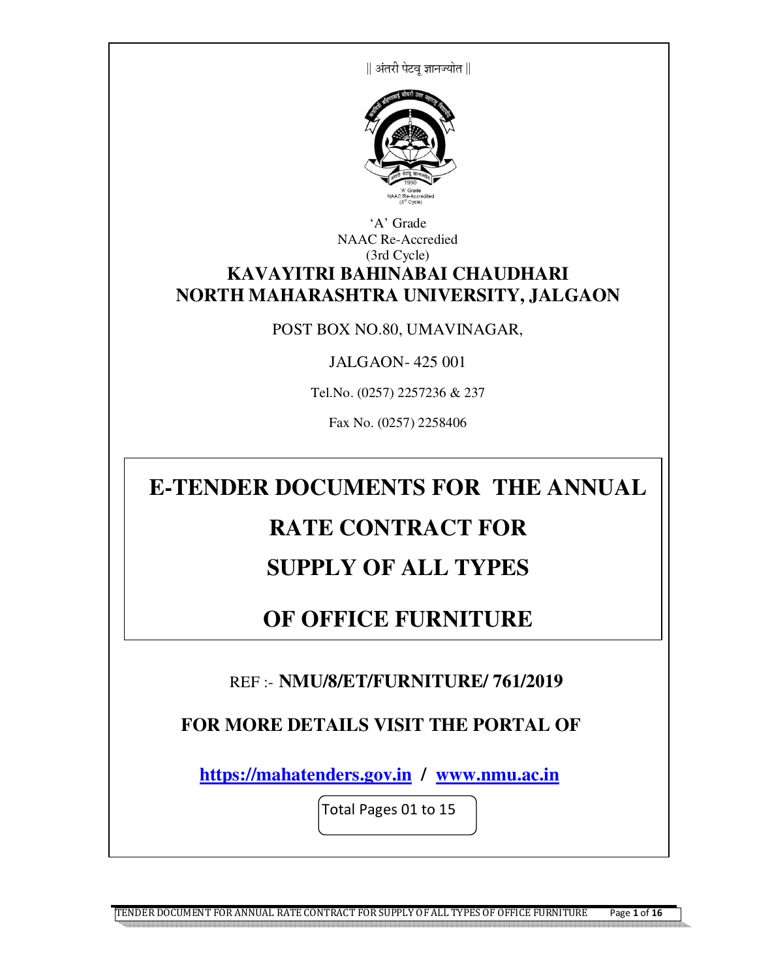|| अंतरी पेटव ज्ञानज्योत ||



#### 'A' Grade NAAC Re-Accredied (3rd Cycle) **KAVAYITRI BAHINABAI CHAUDHARI NORTH MAHARASHTRA UNIVERSITY, JALGAON**

#### POST BOX NO.80, UMAVINAGAR,

JALGAON- 425 001

Tel.No. (0257) 2257236 & 237

Fax No. (0257) 2258406

# **E-TENDER DOCUMENTS FOR THE ANNUAL**

# **RATE CONTRACT FOR**

# **SUPPLY OF ALL TYPES**

# **OF OFFICE FURNITURE**

### REF :- **NMU/8/ET/FURNITURE/ 761/2019**

## **FOR MORE DETAILS VISIT THE PORTAL OF**

 **https://mahatenders.gov.in / www.nmu.ac.in** 

Total Pages 01 to 15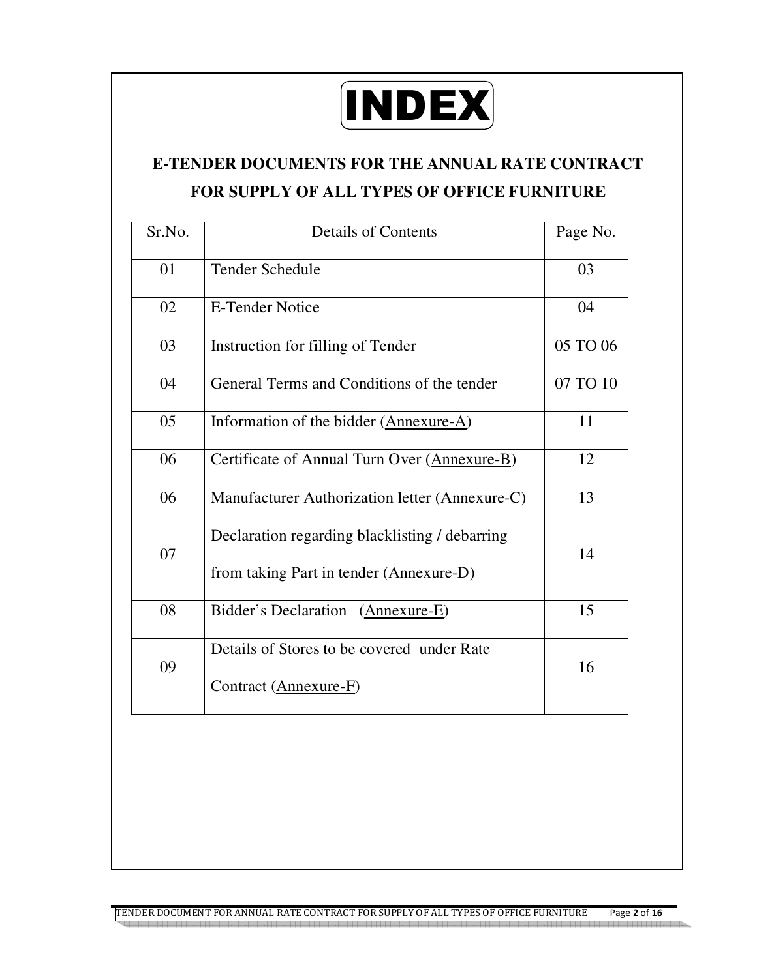

# **E-TENDER DOCUMENTS FOR THE ANNUAL RATE CONTRACT FOR SUPPLY OF ALL TYPES OF OFFICE FURNITURE**

| Sr.No. | <b>Details of Contents</b>                                                                | Page No. |
|--------|-------------------------------------------------------------------------------------------|----------|
| 01     | <b>Tender Schedule</b>                                                                    | 03       |
| 02     | <b>E-Tender Notice</b>                                                                    | 04       |
| 03     | Instruction for filling of Tender                                                         | 05 TO 06 |
| 04     | General Terms and Conditions of the tender                                                | 07 TO 10 |
| 05     | Information of the bidder (Annexure-A)                                                    | 11       |
| 06     | Certificate of Annual Turn Over (Annexure-B)                                              | 12       |
| 06     | Manufacturer Authorization letter (Annexure-C)                                            | 13       |
| 07     | Declaration regarding blacklisting / debarring<br>from taking Part in tender (Annexure-D) | 14       |
| 08     | Bidder's Declaration (Annexure-E)                                                         | 15       |
| 09     | Details of Stores to be covered under Rate<br>Contract (Annexure-F)                       | 16       |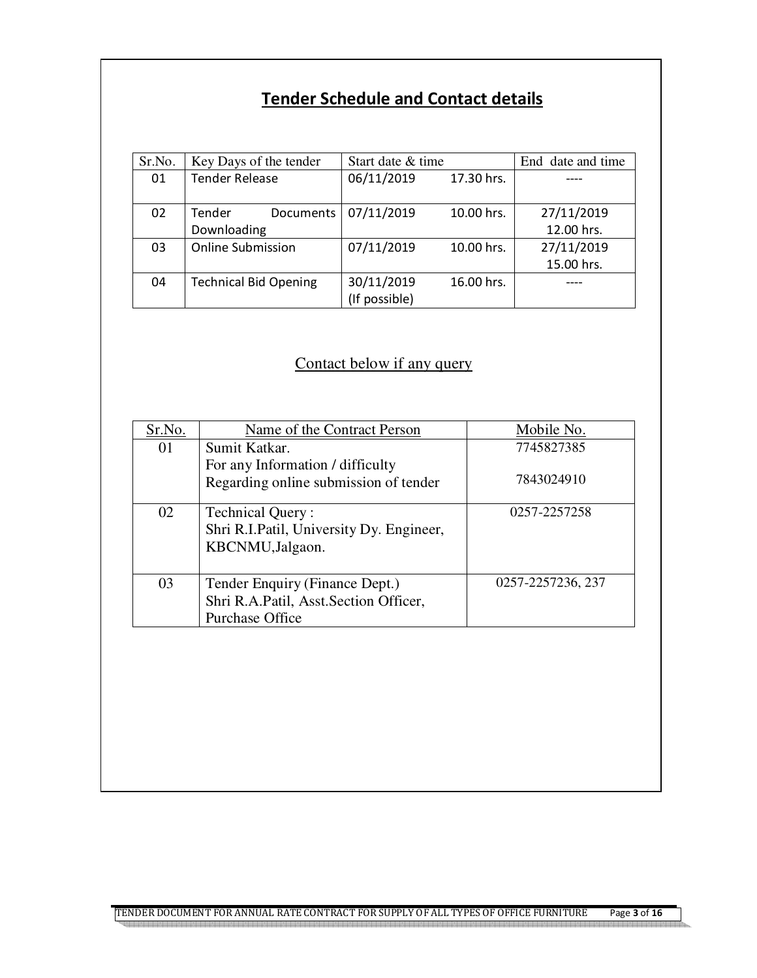## **Tender Schedule and Contact details**

| Sr.No. | Key Days of the tender       | Start date & time |            | End date and time |
|--------|------------------------------|-------------------|------------|-------------------|
| 01     | <b>Tender Release</b>        | 06/11/2019        | 17.30 hrs. |                   |
|        |                              |                   |            |                   |
| 02     | Tender<br>Documents          | 07/11/2019        | 10.00 hrs. | 27/11/2019        |
|        | Downloading                  |                   |            | 12.00 hrs.        |
| 03     | <b>Online Submission</b>     | 07/11/2019        | 10.00 hrs. | 27/11/2019        |
|        |                              |                   |            | 15.00 hrs.        |
| 04     | <b>Technical Bid Opening</b> | 30/11/2019        | 16.00 hrs. |                   |
|        |                              | (If possible)     |            |                   |

## Contact below if any query

| Sr.No. | Name of the Contract Person                                                                       | Mobile No.        |
|--------|---------------------------------------------------------------------------------------------------|-------------------|
| 01     | Sumit Katkar.                                                                                     | 7745827385        |
|        | For any Information / difficulty<br>Regarding online submission of tender                         | 7843024910        |
| 02     | Technical Query:<br>Shri R.I.Patil, University Dy. Engineer,<br>KBCNMU, Jalgaon.                  | 0257-2257258      |
| 03     | Tender Enquiry (Finance Dept.)<br>Shri R.A.Patil, Asst.Section Officer,<br><b>Purchase Office</b> | 0257-2257236, 237 |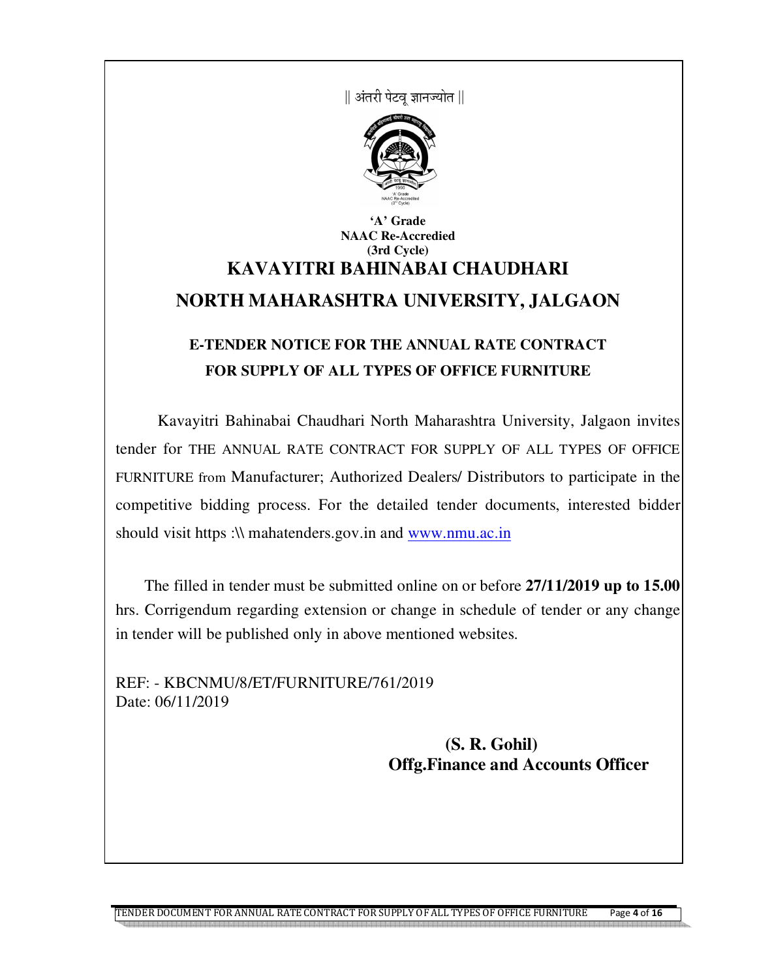|| अंतरी पेटव ज्ञानज्योत ||



### **'A' Grade NAAC Re-Accredied (3rd Cycle) KAVAYITRI BAHINABAI CHAUDHARI NORTH MAHARASHTRA UNIVERSITY, JALGAON**

## **E-TENDER NOTICE FOR THE ANNUAL RATE CONTRACT FOR SUPPLY OF ALL TYPES OF OFFICE FURNITURE**

 Kavayitri Bahinabai Chaudhari North Maharashtra University, Jalgaon invites tender for THE ANNUAL RATE CONTRACT FOR SUPPLY OF ALL TYPES OF OFFICE FURNITURE from Manufacturer; Authorized Dealers/ Distributors to participate in the competitive bidding process. For the detailed tender documents, interested bidder should visit https :\\ mahatenders.gov.in and www.nmu.ac.in

 The filled in tender must be submitted online on or before **27/11/2019 up to 15.00** hrs. Corrigendum regarding extension or change in schedule of tender or any change in tender will be published only in above mentioned websites.

REF: - KBCNMU/8/ET/FURNITURE/761/2019 Date: 06/11/2019

> **(S. R. Gohil) Offg.Finance and Accounts Officer**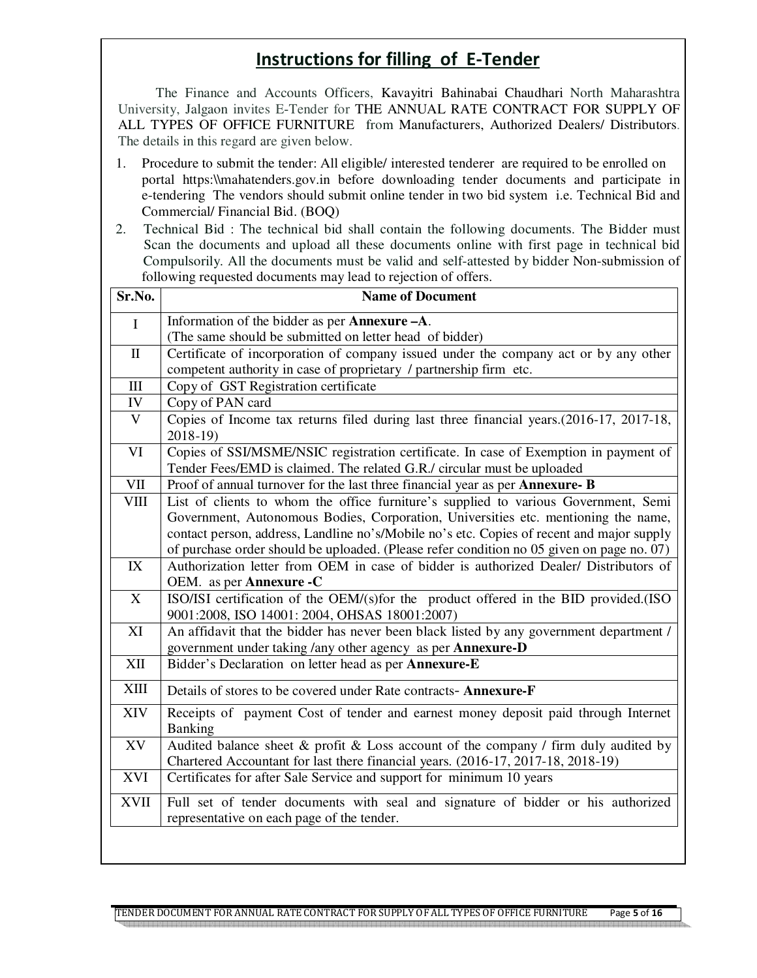## **Instructions for filling of E-Tender**

 The Finance and Accounts Officers, Kavayitri Bahinabai Chaudhari North Maharashtra University, Jalgaon invites E-Tender for THE ANNUAL RATE CONTRACT FOR SUPPLY OF ALL TYPES OF OFFICE FURNITURE from Manufacturers, Authorized Dealers/ Distributors. The details in this regard are given below.

- 1. Procedure to submit the tender: All eligible/ interested tenderer are required to be enrolled on portal https:\\mahatenders.gov.in before downloading tender documents and participate in e-tendering The vendors should submit online tender in two bid system i.e. Technical Bid and Commercial/ Financial Bid. (BOQ)
- 2. Technical Bid : The technical bid shall contain the following documents. The Bidder must Scan the documents and upload all these documents online with first page in technical bid Compulsorily. All the documents must be valid and self-attested by bidder Non-submission of following requested documents may lead to rejection of offers.

| Sr.No.                                            | <b>Name of Document</b>                                                                                                                                         |  |  |
|---------------------------------------------------|-----------------------------------------------------------------------------------------------------------------------------------------------------------------|--|--|
| $\mathbf I$                                       | Information of the bidder as per <b>Annexure</b> - A.                                                                                                           |  |  |
|                                                   | (The same should be submitted on letter head of bidder)                                                                                                         |  |  |
| $\mathbf{I}$                                      | Certificate of incorporation of company issued under the company act or by any other                                                                            |  |  |
|                                                   | competent authority in case of proprietary / partnership firm etc.                                                                                              |  |  |
| III                                               | Copy of GST Registration certificate                                                                                                                            |  |  |
| IV                                                | Copy of PAN card                                                                                                                                                |  |  |
| $\ensuremath{\mathbf{V}}$                         | Copies of Income tax returns filed during last three financial years.(2016-17, 2017-18,<br>2018-19)                                                             |  |  |
| VI                                                | Copies of SSI/MSME/NSIC registration certificate. In case of Exemption in payment of<br>Tender Fees/EMD is claimed. The related G.R./ circular must be uploaded |  |  |
| $\ensuremath{\mathsf{V}}\ensuremath{\mathsf{II}}$ | Proof of annual turnover for the last three financial year as per Annexure- B                                                                                   |  |  |
| <b>VIII</b>                                       | List of clients to whom the office furniture's supplied to various Government, Semi                                                                             |  |  |
|                                                   | Government, Autonomous Bodies, Corporation, Universities etc. mentioning the name,                                                                              |  |  |
|                                                   | contact person, address, Landline no's/Mobile no's etc. Copies of recent and major supply                                                                       |  |  |
|                                                   | of purchase order should be uploaded. (Please refer condition no 05 given on page no. 07)                                                                       |  |  |
| IX                                                | Authorization letter from OEM in case of bidder is authorized Dealer/ Distributors of                                                                           |  |  |
|                                                   | OEM. as per <b>Annexure -C</b>                                                                                                                                  |  |  |
| X                                                 | ISO/ISI certification of the OEM/(s)for the product offered in the BID provided.(ISO<br>9001:2008, ISO 14001: 2004, OHSAS 18001:2007)                           |  |  |
| XI                                                | An affidavit that the bidder has never been black listed by any government department /                                                                         |  |  |
|                                                   | government under taking /any other agency as per <b>Annexure-D</b>                                                                                              |  |  |
| XII                                               | Bidder's Declaration on letter head as per Annexure-E                                                                                                           |  |  |
| <b>XIII</b>                                       | Details of stores to be covered under Rate contracts- Annexure-F                                                                                                |  |  |
| XIV                                               | Receipts of payment Cost of tender and earnest money deposit paid through Internet<br>Banking                                                                   |  |  |
| XV                                                | Audited balance sheet $\&$ profit $\&$ Loss account of the company / firm duly audited by                                                                       |  |  |
|                                                   | Chartered Accountant for last there financial years. (2016-17, 2017-18, 2018-19)                                                                                |  |  |
| XVI                                               | Certificates for after Sale Service and support for minimum 10 years                                                                                            |  |  |
| <b>XVII</b>                                       | Full set of tender documents with seal and signature of bidder or his authorized                                                                                |  |  |
|                                                   | representative on each page of the tender.                                                                                                                      |  |  |
|                                                   |                                                                                                                                                                 |  |  |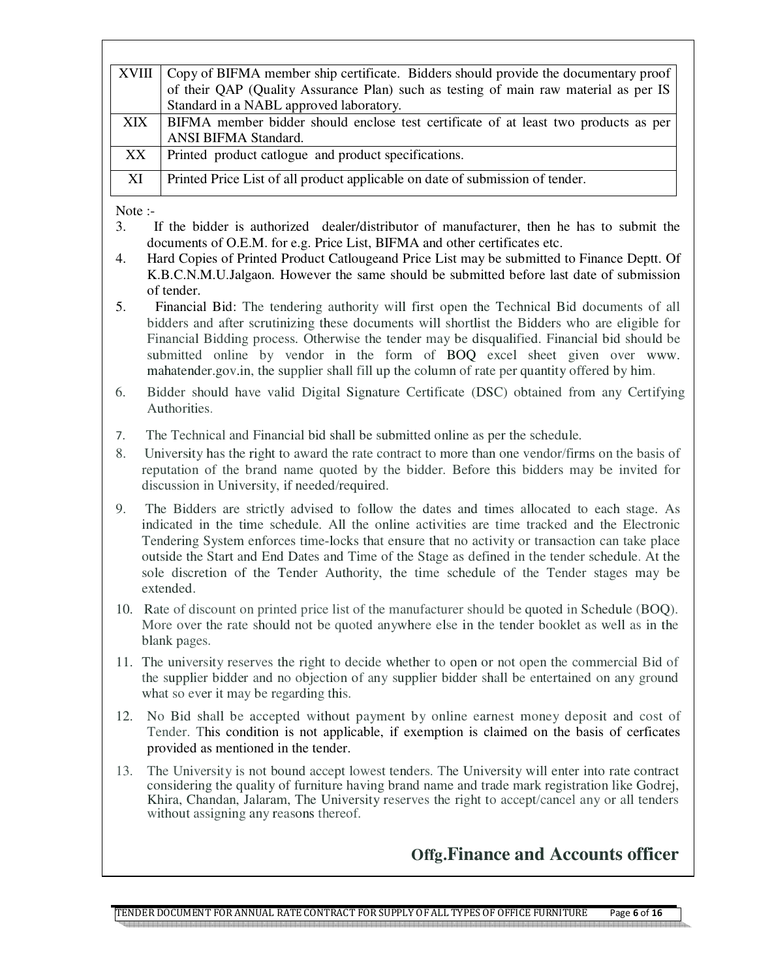| XVIII | Copy of BIFMA member ship certificate. Bidders should provide the documentary proof  |
|-------|--------------------------------------------------------------------------------------|
|       | of their QAP (Quality Assurance Plan) such as testing of main raw material as per IS |
|       | Standard in a NABL approved laboratory.                                              |
| XIX . | BIFMA member bidder should enclose test certificate of at least two products as per  |
|       | <b>ANSI BIFMA Standard.</b>                                                          |
| XX.   | Printed product catlogue and product specifications.                                 |
|       |                                                                                      |
| XI    | Printed Price List of all product applicable on date of submission of tender.        |
|       |                                                                                      |

Note :-

- 3. If the bidder is authorized dealer/distributor of manufacturer, then he has to submit the documents of O.E.M. for e.g. Price List, BIFMA and other certificates etc.
- 4. Hard Copies of Printed Product Catlougeand Price List may be submitted to Finance Deptt. Of K.B.C.N.M.U.Jalgaon. However the same should be submitted before last date of submission of tender.
- 5. Financial Bid: The tendering authority will first open the Technical Bid documents of all bidders and after scrutinizing these documents will shortlist the Bidders who are eligible for Financial Bidding process. Otherwise the tender may be disqualified. Financial bid should be submitted online by vendor in the form of BOQ excel sheet given over www. mahatender.gov.in, the supplier shall fill up the column of rate per quantity offered by him.
- 6. Bidder should have valid Digital Signature Certificate (DSC) obtained from any Certifying Authorities.
- 7. The Technical and Financial bid shall be submitted online as per the schedule.
- 8. University has the right to award the rate contract to more than one vendor/firms on the basis of reputation of the brand name quoted by the bidder. Before this bidders may be invited for discussion in University, if needed/required.
- 9. The Bidders are strictly advised to follow the dates and times allocated to each stage. As indicated in the time schedule. All the online activities are time tracked and the Electronic Tendering System enforces time-locks that ensure that no activity or transaction can take place outside the Start and End Dates and Time of the Stage as defined in the tender schedule. At the sole discretion of the Tender Authority, the time schedule of the Tender stages may be extended.
- 10. Rate of discount on printed price list of the manufacturer should be quoted in Schedule (BOQ). More over the rate should not be quoted anywhere else in the tender booklet as well as in the blank pages.
- 11. The university reserves the right to decide whether to open or not open the commercial Bid of the supplier bidder and no objection of any supplier bidder shall be entertained on any ground what so ever it may be regarding this.
- 12. No Bid shall be accepted without payment by online earnest money deposit and cost of Tender. This condition is not applicable, if exemption is claimed on the basis of cerficates provided as mentioned in the tender.
- 13. The University is not bound accept lowest tenders. The University will enter into rate contract considering the quality of furniture having brand name and trade mark registration like Godrej, Khira, Chandan, Jalaram, The University reserves the right to accept/cancel any or all tenders without assigning any reasons thereof.

### **Offg.Finance and Accounts officer**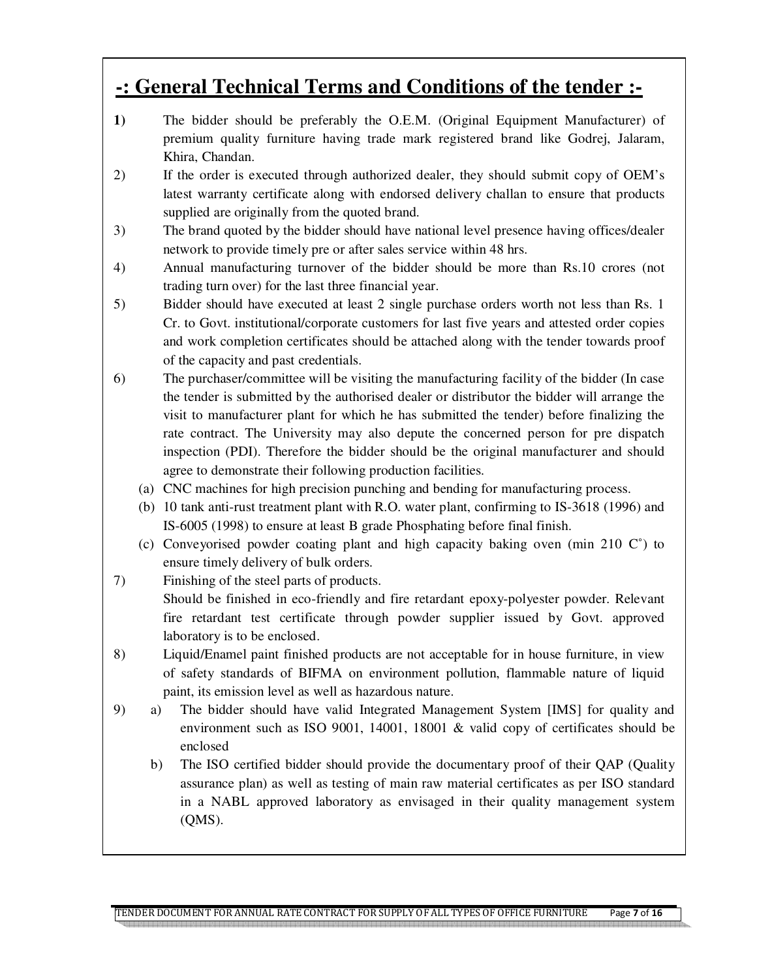## **-: General Technical Terms and Conditions of the tender :-**

- **1)** The bidder should be preferably the O.E.M. (Original Equipment Manufacturer) of premium quality furniture having trade mark registered brand like Godrej, Jalaram, Khira, Chandan.
- 2) If the order is executed through authorized dealer, they should submit copy of OEM's latest warranty certificate along with endorsed delivery challan to ensure that products supplied are originally from the quoted brand.
- 3) The brand quoted by the bidder should have national level presence having offices/dealer network to provide timely pre or after sales service within 48 hrs.
- 4) Annual manufacturing turnover of the bidder should be more than Rs.10 crores (not trading turn over) for the last three financial year.
- 5) Bidder should have executed at least 2 single purchase orders worth not less than Rs. 1 Cr. to Govt. institutional/corporate customers for last five years and attested order copies and work completion certificates should be attached along with the tender towards proof of the capacity and past credentials.
- 6) The purchaser/committee will be visiting the manufacturing facility of the bidder (In case the tender is submitted by the authorised dealer or distributor the bidder will arrange the visit to manufacturer plant for which he has submitted the tender) before finalizing the rate contract. The University may also depute the concerned person for pre dispatch inspection (PDI). Therefore the bidder should be the original manufacturer and should agree to demonstrate their following production facilities.
	- (a) CNC machines for high precision punching and bending for manufacturing process.
	- (b) 10 tank anti-rust treatment plant with R.O. water plant, confirming to IS-3618 (1996) and IS-6005 (1998) to ensure at least B grade Phosphating before final finish.
	- (c) Conveyorised powder coating plant and high capacity baking oven (min 210  $\mathbb{C}^{\circ}$ ) to ensure timely delivery of bulk orders.
- 7) Finishing of the steel parts of products. Should be finished in eco-friendly and fire retardant epoxy-polyester powder. Relevant fire retardant test certificate through powder supplier issued by Govt. approved laboratory is to be enclosed.
- 8) Liquid/Enamel paint finished products are not acceptable for in house furniture, in view of safety standards of BIFMA on environment pollution, flammable nature of liquid paint, its emission level as well as hazardous nature.
- 9) a) The bidder should have valid Integrated Management System [IMS] for quality and environment such as ISO 9001, 14001, 18001 & valid copy of certificates should be enclosed
	- b) The ISO certified bidder should provide the documentary proof of their QAP (Quality assurance plan) as well as testing of main raw material certificates as per ISO standard in a NABL approved laboratory as envisaged in their quality management system (QMS).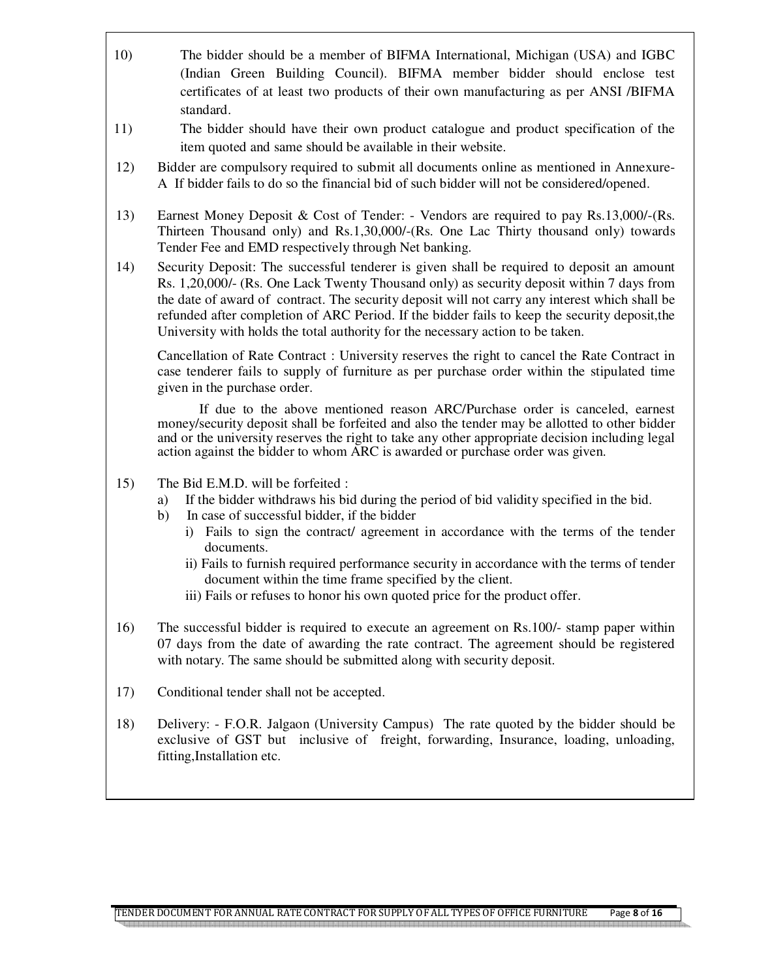- 10) The bidder should be a member of BIFMA International, Michigan (USA) and IGBC (Indian Green Building Council). BIFMA member bidder should enclose test certificates of at least two products of their own manufacturing as per ANSI /BIFMA standard.
- 11) The bidder should have their own product catalogue and product specification of the item quoted and same should be available in their website.
- 12) Bidder are compulsory required to submit all documents online as mentioned in Annexure-A If bidder fails to do so the financial bid of such bidder will not be considered/opened.
- 13) Earnest Money Deposit & Cost of Tender: Vendors are required to pay Rs.13,000/-(Rs. Thirteen Thousand only) and Rs.1,30,000/-(Rs. One Lac Thirty thousand only) towards Tender Fee and EMD respectively through Net banking.
- 14) Security Deposit: The successful tenderer is given shall be required to deposit an amount Rs. 1,20,000/- (Rs. One Lack Twenty Thousand only) as security deposit within 7 days from the date of award of contract. The security deposit will not carry any interest which shall be refunded after completion of ARC Period. If the bidder fails to keep the security deposit,the University with holds the total authority for the necessary action to be taken.

Cancellation of Rate Contract : University reserves the right to cancel the Rate Contract in case tenderer fails to supply of furniture as per purchase order within the stipulated time given in the purchase order.

If due to the above mentioned reason ARC/Purchase order is canceled, earnest money/security deposit shall be forfeited and also the tender may be allotted to other bidder and or the university reserves the right to take any other appropriate decision including legal action against the bidder to whom ARC is awarded or purchase order was given.

- 15) The Bid E.M.D. will be forfeited :
	- a) If the bidder withdraws his bid during the period of bid validity specified in the bid.
	- b) In case of successful bidder, if the bidder
		- i) Fails to sign the contract/ agreement in accordance with the terms of the tender documents.
		- ii) Fails to furnish required performance security in accordance with the terms of tender document within the time frame specified by the client.
		- iii) Fails or refuses to honor his own quoted price for the product offer.
- 16) The successful bidder is required to execute an agreement on Rs.100/- stamp paper within 07 days from the date of awarding the rate contract. The agreement should be registered with notary. The same should be submitted along with security deposit.
- 17) Conditional tender shall not be accepted.
- 18) Delivery: F.O.R. Jalgaon (University Campus) The rate quoted by the bidder should be exclusive of GST but inclusive of freight, forwarding, Insurance, loading, unloading, fitting,Installation etc.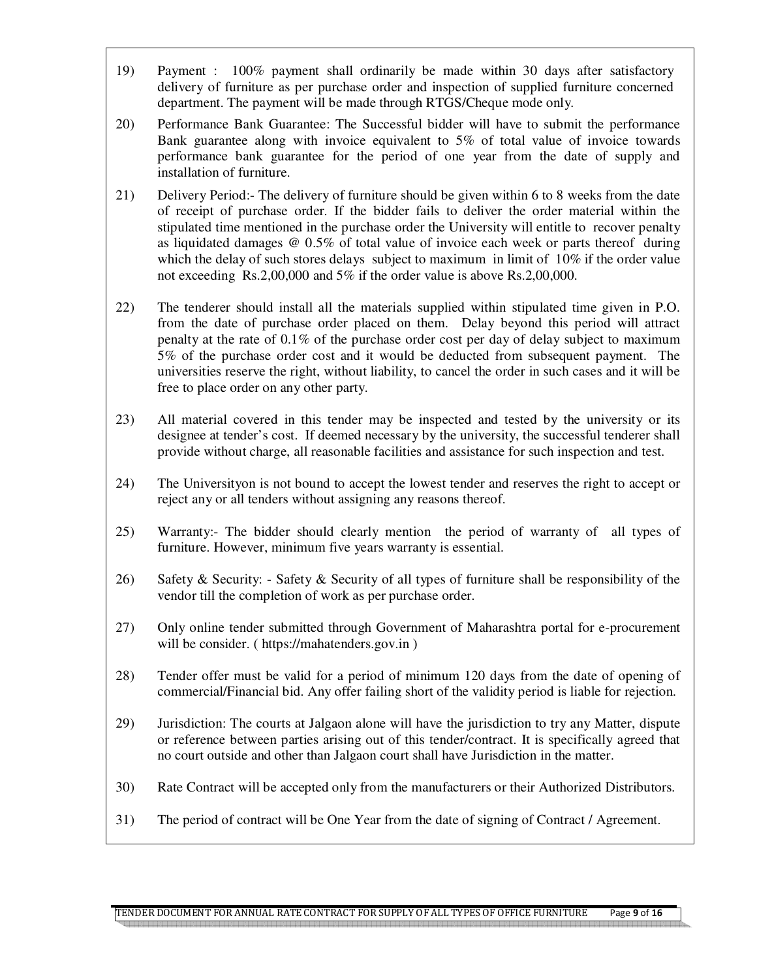- 19) Payment : 100% payment shall ordinarily be made within 30 days after satisfactory delivery of furniture as per purchase order and inspection of supplied furniture concerned department. The payment will be made through RTGS/Cheque mode only.
- 20) Performance Bank Guarantee: The Successful bidder will have to submit the performance Bank guarantee along with invoice equivalent to 5% of total value of invoice towards performance bank guarantee for the period of one year from the date of supply and installation of furniture.
- 21) Delivery Period:- The delivery of furniture should be given within 6 to 8 weeks from the date of receipt of purchase order. If the bidder fails to deliver the order material within the stipulated time mentioned in the purchase order the University will entitle to recover penalty as liquidated damages @ 0.5% of total value of invoice each week or parts thereof during which the delay of such stores delays subject to maximum in limit of 10% if the order value not exceeding Rs.2,00,000 and 5% if the order value is above Rs.2,00,000.
- 22) The tenderer should install all the materials supplied within stipulated time given in P.O. from the date of purchase order placed on them. Delay beyond this period will attract penalty at the rate of 0.1% of the purchase order cost per day of delay subject to maximum 5% of the purchase order cost and it would be deducted from subsequent payment. The universities reserve the right, without liability, to cancel the order in such cases and it will be free to place order on any other party.
- 23) All material covered in this tender may be inspected and tested by the university or its designee at tender's cost. If deemed necessary by the university, the successful tenderer shall provide without charge, all reasonable facilities and assistance for such inspection and test.
- 24) The Universityon is not bound to accept the lowest tender and reserves the right to accept or reject any or all tenders without assigning any reasons thereof.
- 25) Warranty:- The bidder should clearly mention the period of warranty of all types of furniture. However, minimum five years warranty is essential.
- 26) Safety & Security: Safety & Security of all types of furniture shall be responsibility of the vendor till the completion of work as per purchase order.
- 27) Only online tender submitted through Government of Maharashtra portal for e-procurement will be consider. ( https://mahatenders.gov.in )
- 28) Tender offer must be valid for a period of minimum 120 days from the date of opening of commercial/Financial bid. Any offer failing short of the validity period is liable for rejection.
- 29) Jurisdiction: The courts at Jalgaon alone will have the jurisdiction to try any Matter, dispute or reference between parties arising out of this tender/contract. It is specifically agreed that no court outside and other than Jalgaon court shall have Jurisdiction in the matter.
- 30) Rate Contract will be accepted only from the manufacturers or their Authorized Distributors.
- 31) The period of contract will be One Year from the date of signing of Contract / Agreement.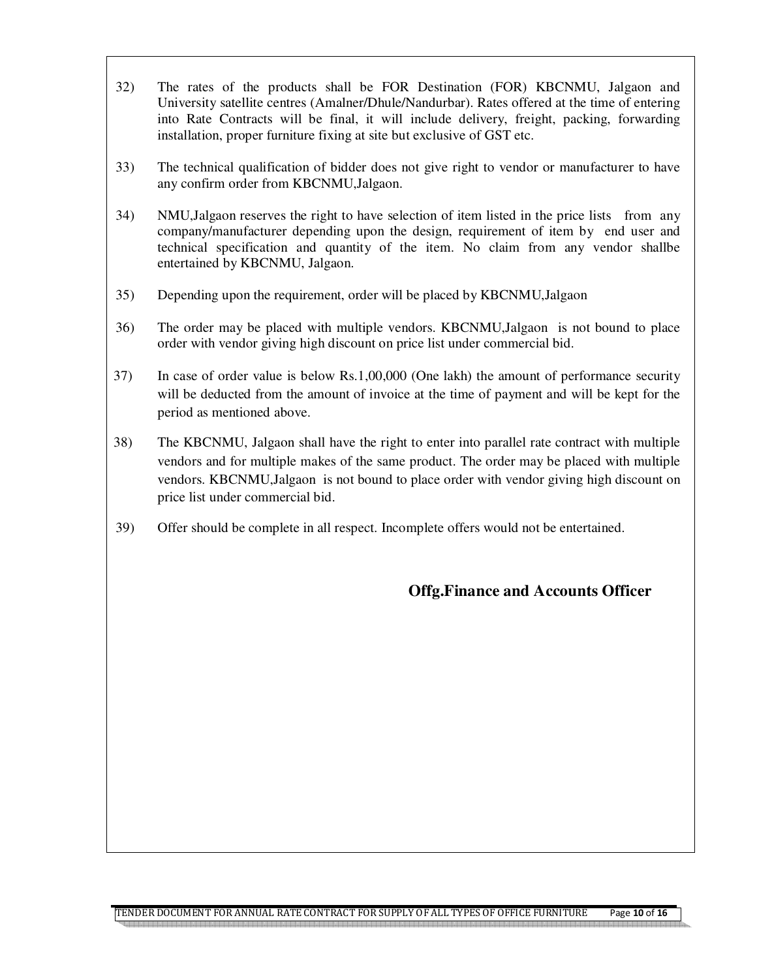- 32) The rates of the products shall be FOR Destination (FOR) KBCNMU, Jalgaon and University satellite centres (Amalner/Dhule/Nandurbar). Rates offered at the time of entering into Rate Contracts will be final, it will include delivery, freight, packing, forwarding installation, proper furniture fixing at site but exclusive of GST etc.
- 33) The technical qualification of bidder does not give right to vendor or manufacturer to have any confirm order from KBCNMU,Jalgaon.
- 34) NMU,Jalgaon reserves the right to have selection of item listed in the price lists from any company/manufacturer depending upon the design, requirement of item by end user and technical specification and quantity of the item. No claim from any vendor shallbe entertained by KBCNMU, Jalgaon.
- 35) Depending upon the requirement, order will be placed by KBCNMU,Jalgaon
- 36) The order may be placed with multiple vendors. KBCNMU,Jalgaon is not bound to place order with vendor giving high discount on price list under commercial bid.
- 37) In case of order value is below Rs.1,00,000 (One lakh) the amount of performance security will be deducted from the amount of invoice at the time of payment and will be kept for the period as mentioned above.
- 38) The KBCNMU, Jalgaon shall have the right to enter into parallel rate contract with multiple vendors and for multiple makes of the same product. The order may be placed with multiple vendors. KBCNMU,Jalgaon is not bound to place order with vendor giving high discount on price list under commercial bid.
- 39) Offer should be complete in all respect. Incomplete offers would not be entertained.

#### **Offg.Finance and Accounts Officer**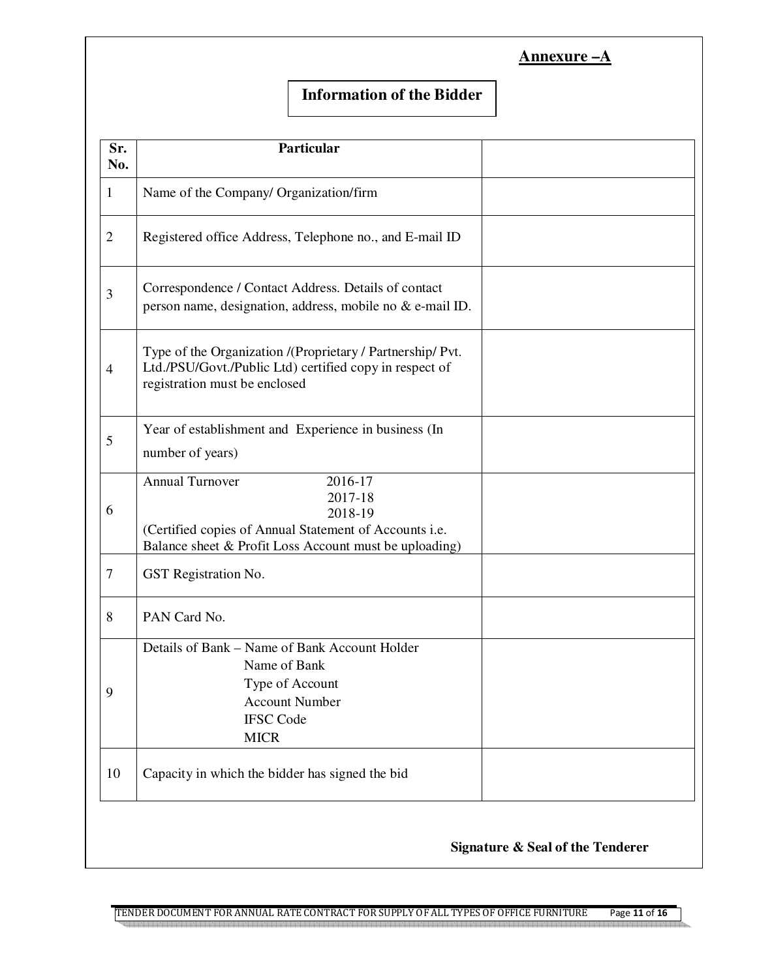| Annexure |  |
|----------|--|
|          |  |

#### **Information of the Bidder**

| Sr.<br>No.     | Particular                                                                                                                                                                  |  |
|----------------|-----------------------------------------------------------------------------------------------------------------------------------------------------------------------------|--|
| 1              | Name of the Company/ Organization/firm                                                                                                                                      |  |
| $\overline{2}$ | Registered office Address, Telephone no., and E-mail ID                                                                                                                     |  |
| 3              | Correspondence / Contact Address. Details of contact<br>person name, designation, address, mobile no & e-mail ID.                                                           |  |
| 4              | Type of the Organization /(Proprietary / Partnership/ Pvt.<br>Ltd./PSU/Govt./Public Ltd) certified copy in respect of<br>registration must be enclosed                      |  |
| 5              | Year of establishment and Experience in business (In<br>number of years)                                                                                                    |  |
| 6              | <b>Annual Turnover</b><br>2016-17<br>2017-18<br>2018-19<br>(Certified copies of Annual Statement of Accounts i.e.<br>Balance sheet & Profit Loss Account must be uploading) |  |
| 7              | GST Registration No.                                                                                                                                                        |  |
| 8              | PAN Card No.                                                                                                                                                                |  |
| 9              | Details of Bank - Name of Bank Account Holder<br>Name of Bank<br>Type of Account<br><b>Account Number</b><br><b>IFSC Code</b><br><b>MICR</b>                                |  |
| 10             | Capacity in which the bidder has signed the bid                                                                                                                             |  |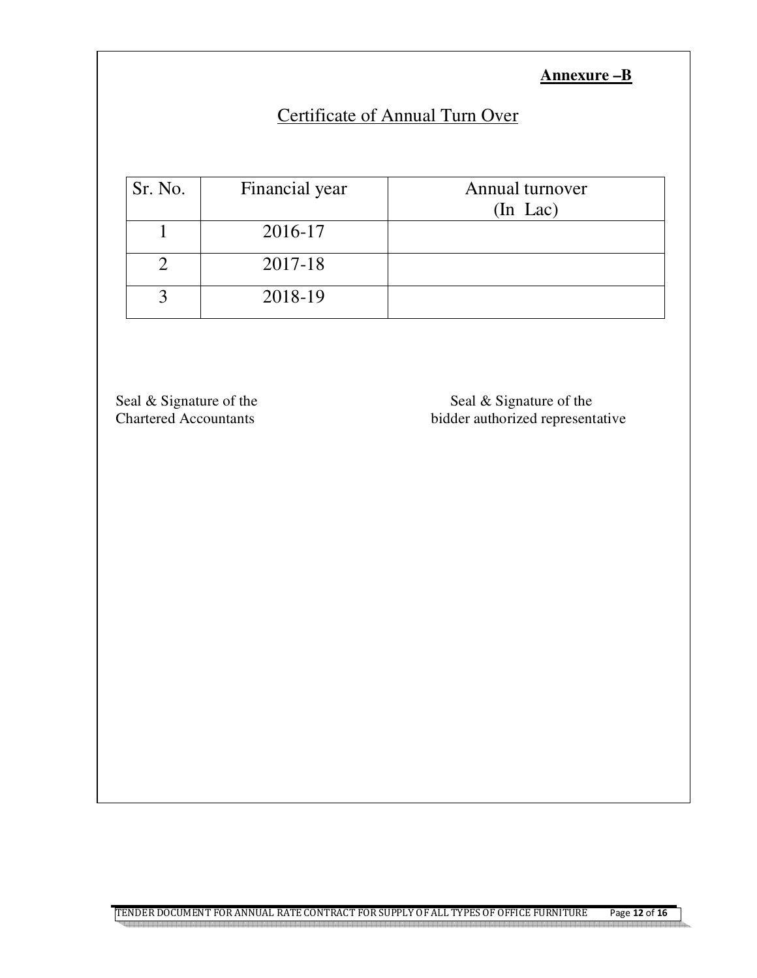**Annexure –B**

## Certificate of Annual Turn Over

| Sr. No. | Financial year | Annual turnover<br>$(In$ Lac $)$ |
|---------|----------------|----------------------------------|
|         | 2016-17        |                                  |
|         | 2017-18        |                                  |
|         | 2018-19        |                                  |

Seal & Signature of the Seal & Signature of the Seal & Signature of the Seal & Signature of the Seal & Signature of the Seal & Signature of the Seal & Signature of the Seal & Signature of the Seal & Signature of the Seal & bidder authorized representative

TENDER DOCUMENT FOR ANNUAL RATE CONTRACT FOR SUPPLY OF ALL TYPES OF OFFICE FURNITURE Page **12** of **16**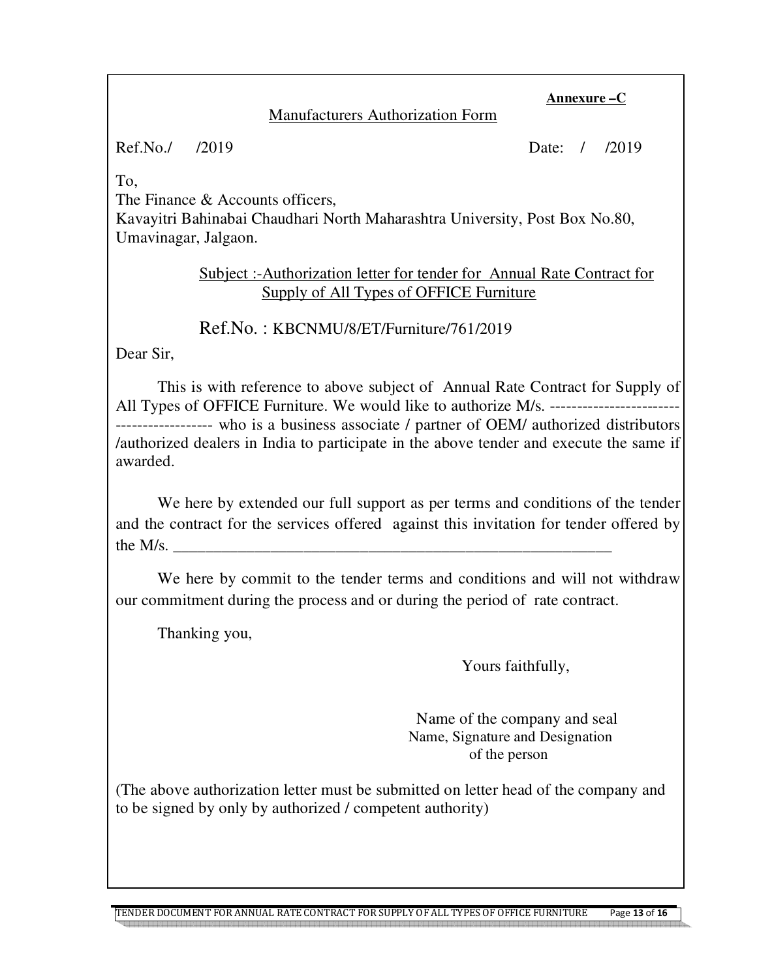#### **Manufacturers Authorization Form**

Ref.No./ /2019 Date: / /2019

**Annexure –C**

To,

The Finance & Accounts officers.

Kavayitri Bahinabai Chaudhari North Maharashtra University, Post Box No.80, Umavinagar, Jalgaon.

> Subject :-Authorization letter for tender for Annual Rate Contract for Supply of All Types of OFFICE Furniture

Ref.No. : KBCNMU/8/ET/Furniture/761/2019

Dear Sir,

This is with reference to above subject of Annual Rate Contract for Supply of All Types of OFFICE Furniture. We would like to authorize M/s. ------------------------------------ who is a business associate / partner of OEM/ authorized distributors /authorized dealers in India to participate in the above tender and execute the same if awarded.

 We here by extended our full support as per terms and conditions of the tender and the contract for the services offered against this invitation for tender offered by the  $M/s$ .

We here by commit to the tender terms and conditions and will not withdraw our commitment during the process and or during the period of rate contract.

Thanking you,

Yours faithfully,

 Name of the company and seal Name, Signature and Designation of the person

(The above authorization letter must be submitted on letter head of the company and to be signed by only by authorized / competent authority)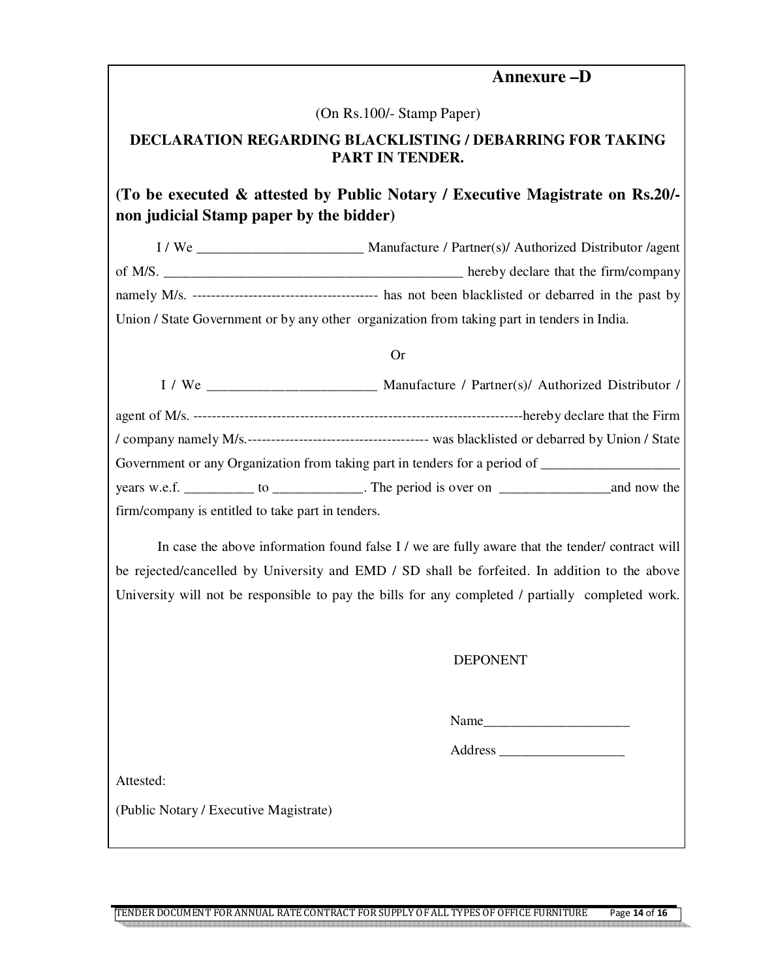#### **Annexure –D**

(On Rs.100/- Stamp Paper)

#### **DECLARATION REGARDING BLACKLISTING / DEBARRING FOR TAKING PART IN TENDER.**

#### **(To be executed & attested by Public Notary / Executive Magistrate on Rs.20/ non judicial Stamp paper by the bidder)**

I / We \_\_\_\_\_\_\_\_\_\_\_\_\_\_\_\_\_\_\_\_\_\_\_\_ Manufacture / Partner(s)/ Authorized Distributor /agent of M/S. namely M/s. ---------------------------------------- has not been blacklisted or debarred in the past by Union / State Government or by any other organization from taking part in tenders in India.

#### Or

|                                                   | Manufacture / Partner(s)/ Authorized Distributor /                                                  |
|---------------------------------------------------|-----------------------------------------------------------------------------------------------------|
|                                                   |                                                                                                     |
|                                                   |                                                                                                     |
|                                                   | Government or any Organization from taking part in tenders for a period of ________________________ |
|                                                   |                                                                                                     |
| firm/company is entitled to take part in tenders. |                                                                                                     |

In case the above information found false I / we are fully aware that the tender/ contract will be rejected/cancelled by University and EMD / SD shall be forfeited. In addition to the above University will not be responsible to pay the bills for any completed / partially completed work.

#### DEPONENT

Name\_\_\_\_\_\_\_\_\_\_\_\_\_\_\_\_\_\_\_\_\_

Address \_\_\_\_\_\_\_\_\_\_\_\_\_\_\_\_\_\_

Attested:

(Public Notary / Executive Magistrate)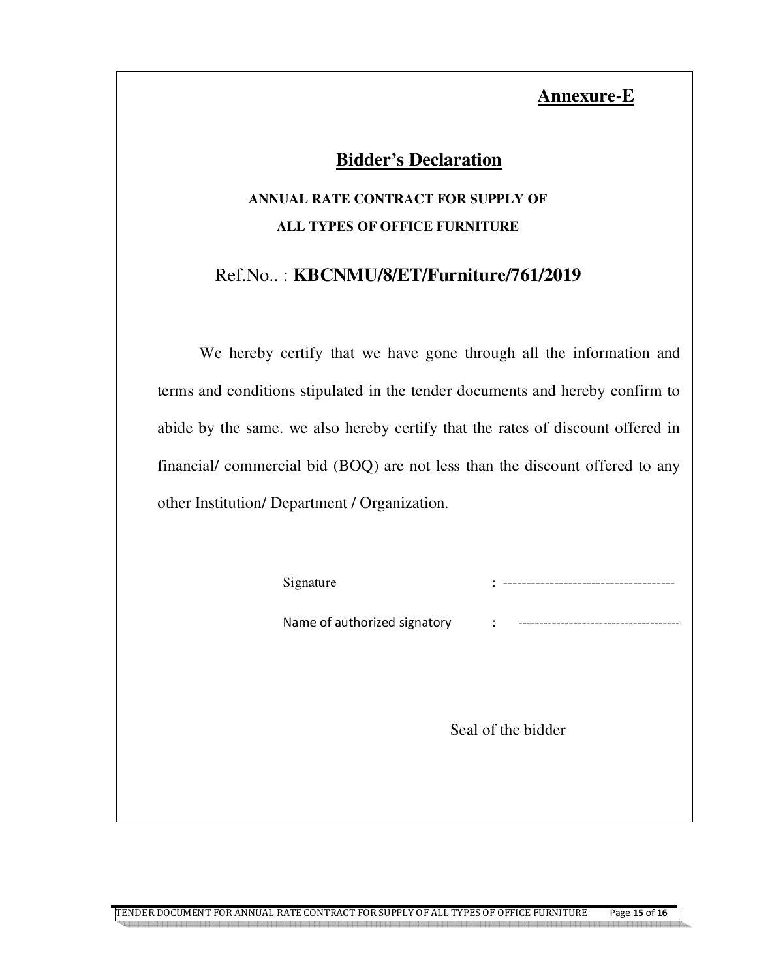#### **Annexure-E**

### **Bidder's Declaration**

## **ANNUAL RATE CONTRACT FOR SUPPLY OF ALL TYPES OF OFFICE FURNITURE**

### Ref.No.. : **KBCNMU/8/ET/Furniture/761/2019**

We hereby certify that we have gone through all the information and terms and conditions stipulated in the tender documents and hereby confirm to abide by the same. we also hereby certify that the rates of discount offered in financial/ commercial bid (BOQ) are not less than the discount offered to any other Institution/ Department / Organization.

|--|--|

I

Name of authorized signatory

Seal of the bidder